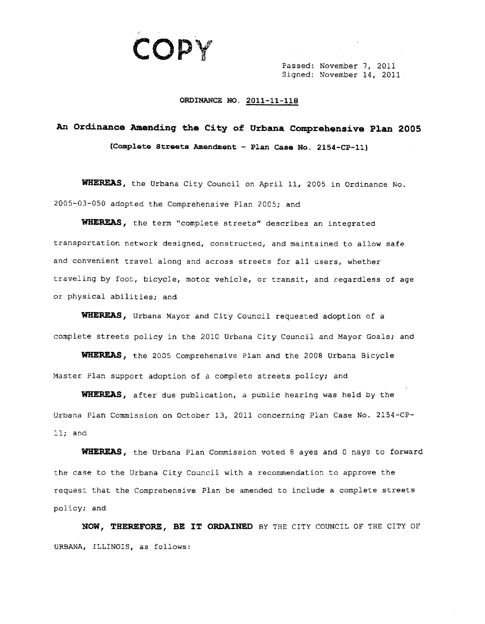

Passed: November 7, 2011 Signed: November 14, 2011

## **ORDINANCE NO. 2011-11-118**

## **An Ordinance Amending the City of Urbana Comprehensive Plan 2005 (Comp1ete Streets Amendment - Plan Case No. 2154-CP-l1)**

WHEREAS, the Urbana City Council on April 11, 2005 in Ordinance No. 2005-03-050 adopted the Comprehensive Plan 2005; and

**WHEREAS,** the term "complete streets" describes an integrated transportation network designed, constructed, and maintained to allow safe and convenient travel along and across streets for all users, whether traveling by foot, bicycle, motor vehicle, or transit, and regardless of age or physical abilities; and

**tni.EREAS,** Urbana Mayor and City Council requested adoption of a complete streets policy in the 2010 Urbana City Council and Mayor Goals; and

WHEREAS, the 2005 Comprehensive Plan and the 2008 Urbana Bicycle Master Plan support adoption of a complete streets policy; and

WHEREAS, after due publication, a public hearing was held by the Urbana Plan Commission on October 13, 2011 concerning Plan Case No. 2154-CP-11; and

WHEREAS, the Urbana Plan Commission voted 8 ayes and 0 nays to forward the case to the Urbana City Council with a recommendation to approve the request that the Comprehensive Plan be amended to include a complete streets policy; and

**NOW, THEREFORE, BE IT ORDAINED** BY THE CITY COUNCIL OF THE CITY OF URBANA, ILLINOIS, as follows: